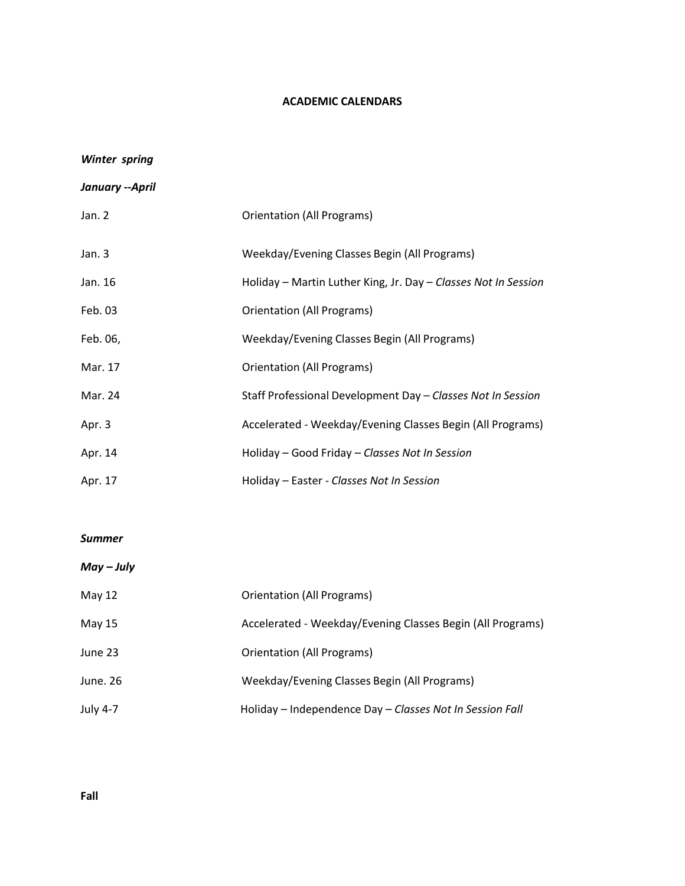## **ACADEMIC CALENDARS**

# *Winter spring*

| January --April |  |
|-----------------|--|
|-----------------|--|

| Jan. 2   | Orientation (All Programs)                                     |
|----------|----------------------------------------------------------------|
| Jan. $3$ | Weekday/Evening Classes Begin (All Programs)                   |
| Jan. 16  | Holiday – Martin Luther King, Jr. Day – Classes Not In Session |
| Feb. 03  | Orientation (All Programs)                                     |
| Feb. 06, | Weekday/Evening Classes Begin (All Programs)                   |
| Mar. 17  | Orientation (All Programs)                                     |
| Mar. 24  | Staff Professional Development Day - Classes Not In Session    |
| Apr. 3   | Accelerated - Weekday/Evening Classes Begin (All Programs)     |
| Apr. 14  | Holiday – Good Friday – Classes Not In Session                 |
| Apr. 17  | Holiday - Easter - Classes Not In Session                      |

#### *Summer*

# *May – July*

| May 12          | Orientation (All Programs)                                 |
|-----------------|------------------------------------------------------------|
| May $15$        | Accelerated - Weekday/Evening Classes Begin (All Programs) |
| June 23         | Orientation (All Programs)                                 |
| June, 26        | Weekday/Evening Classes Begin (All Programs)               |
| <b>July 4-7</b> | Holiday - Independence Day - Classes Not In Session Fall   |